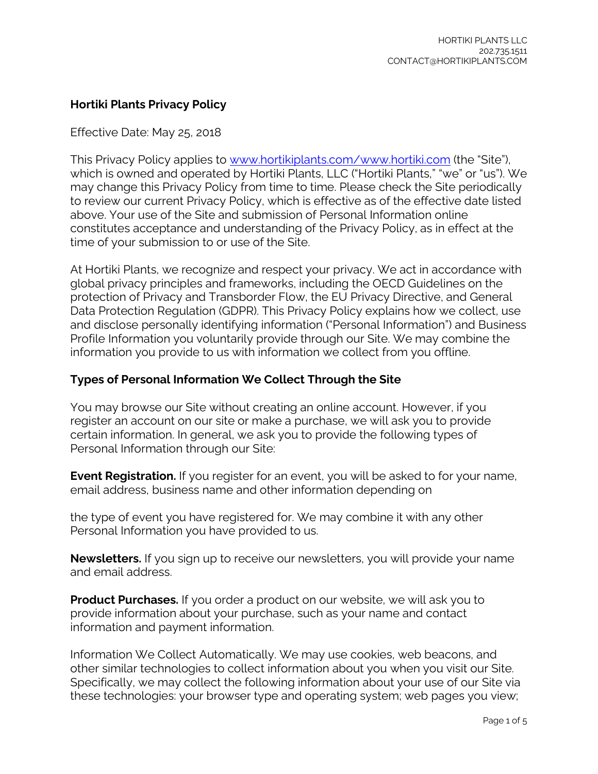# **Hortiki Plants Privacy Policy**

Effective Date: May 25, 2018

This Privacy Policy applies to [www.hortikiplants.com/www.hortiki.com](https://www.hortikiplants.com/) (the "Site"), which is owned and operated by Hortiki Plants, LLC ("Hortiki Plants," "we" or "us"). We may change this Privacy Policy from time to time. Please check the Site periodically to review our current Privacy Policy, which is effective as of the effective date listed above. Your use of the Site and submission of Personal Information online constitutes acceptance and understanding of the Privacy Policy, as in effect at the time of your submission to or use of the Site.

At Hortiki Plants, we recognize and respect your privacy. We act in accordance with global privacy principles and frameworks, including the OECD Guidelines on the protection of Privacy and Transborder Flow, the EU Privacy Directive, and General Data Protection Regulation (GDPR). This Privacy Policy explains how we collect, use and disclose personally identifying information ("Personal Information") and Business Profile Information you voluntarily provide through our Site. We may combine the information you provide to us with information we collect from you offline.

#### **Types of Personal Information We Collect Through the Site**

You may browse our Site without creating an online account. However, if you register an account on our site or make a purchase, we will ask you to provide certain information. In general, we ask you to provide the following types of Personal Information through our Site:

**Event Registration.** If you register for an event, you will be asked to for your name, email address, business name and other information depending on

the type of event you have registered for. We may combine it with any other Personal Information you have provided to us.

**Newsletters.** If you sign up to receive our newsletters, you will provide your name and email address.

**Product Purchases.** If you order a product on our website, we will ask you to provide information about your purchase, such as your name and contact information and payment information.

Information We Collect Automatically. We may use cookies, web beacons, and other similar technologies to collect information about you when you visit our Site. Specifically, we may collect the following information about your use of our Site via these technologies: your browser type and operating system; web pages you view;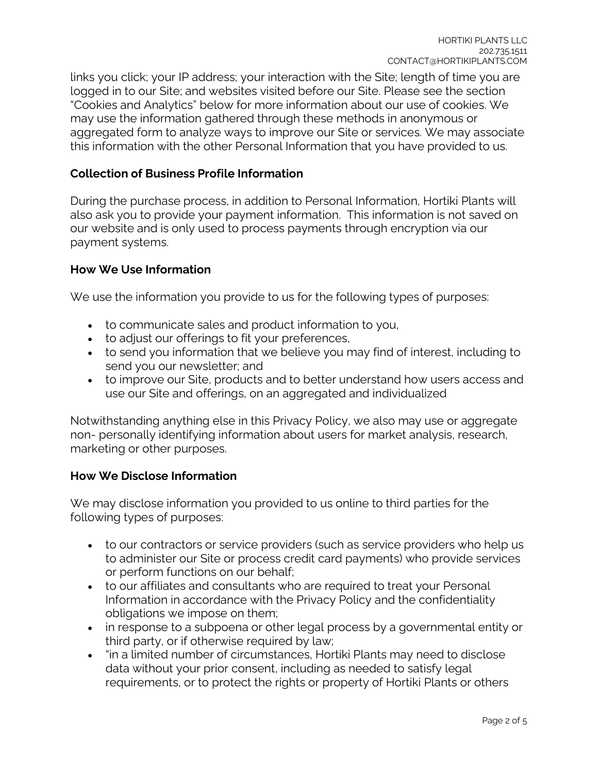links you click; your IP address; your interaction with the Site; length of time you are logged in to our Site; and websites visited before our Site. Please see the section "Cookies and Analytics" below for more information about our use of cookies. We may use the information gathered through these methods in anonymous or aggregated form to analyze ways to improve our Site or services. We may associate this information with the other Personal Information that you have provided to us.

## **Collection of Business Profile Information**

During the purchase process, in addition to Personal Information, Hortiki Plants will also ask you to provide your payment information. This information is not saved on our website and is only used to process payments through encryption via our payment systems.

## **How We Use Information**

We use the information you provide to us for the following types of purposes:

- to communicate sales and product information to you,
- to adjust our offerings to fit your preferences,
- to send you information that we believe you may find of interest, including to send you our newsletter; and
- to improve our Site, products and to better understand how users access and use our Site and offerings, on an aggregated and individualized

Notwithstanding anything else in this Privacy Policy, we also may use or aggregate non- personally identifying information about users for market analysis, research, marketing or other purposes.

### **How We Disclose Information**

We may disclose information you provided to us online to third parties for the following types of purposes:

- to our contractors or service providers (such as service providers who help us to administer our Site or process credit card payments) who provide services or perform functions on our behalf;
- to our affiliates and consultants who are required to treat your Personal Information in accordance with the Privacy Policy and the confidentiality obligations we impose on them;
- in response to a subpoena or other legal process by a governmental entity or third party, or if otherwise required by law;
- "in a limited number of circumstances, Hortiki Plants may need to disclose data without your prior consent, including as needed to satisfy legal requirements, or to protect the rights or property of Hortiki Plants or others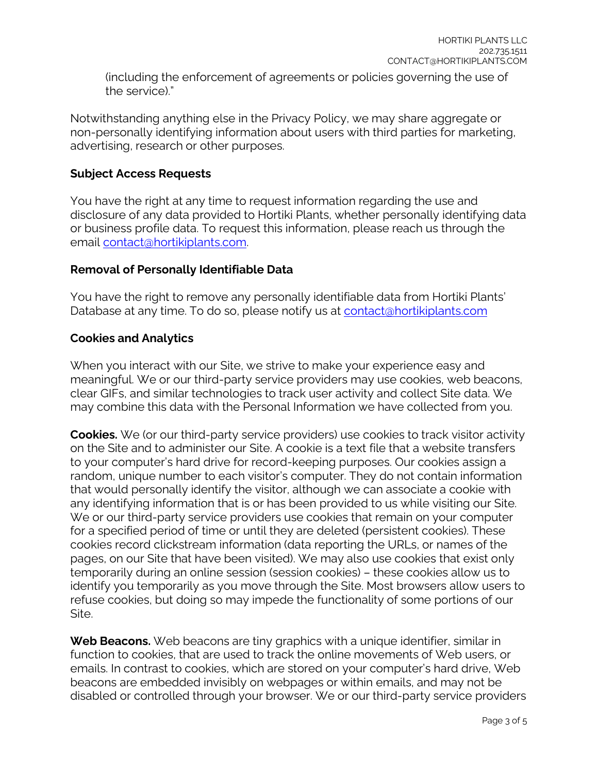(including the enforcement of agreements or policies governing the use of the service)."

Notwithstanding anything else in the Privacy Policy, we may share aggregate or non-personally identifying information about users with third parties for marketing, advertising, research or other purposes.

## **Subject Access Requests**

You have the right at any time to request information regarding the use and disclosure of any data provided to Hortiki Plants, whether personally identifying data or business profile data. To request this information, please reach us through the email [contact@hortikiplants.com.](mailto:contact@hortikiplants.com)

## **Removal of Personally Identifiable Data**

You have the right to remove any personally identifiable data from Hortiki Plants' Database at any time. To do so, please notify us at [contact@hortikiplants.com](mailto:contact@hortikiplants.com)

## **Cookies and Analytics**

When you interact with our Site, we strive to make your experience easy and meaningful. We or our third-party service providers may use cookies, web beacons, clear GIFs, and similar technologies to track user activity and collect Site data. We may combine this data with the Personal Information we have collected from you.

**Cookies.** We (or our third-party service providers) use cookies to track visitor activity on the Site and to administer our Site. A cookie is a text file that a website transfers to your computer's hard drive for record-keeping purposes. Our cookies assign a random, unique number to each visitor's computer. They do not contain information that would personally identify the visitor, although we can associate a cookie with any identifying information that is or has been provided to us while visiting our Site. We or our third-party service providers use cookies that remain on your computer for a specified period of time or until they are deleted (persistent cookies). These cookies record clickstream information (data reporting the URLs, or names of the pages, on our Site that have been visited). We may also use cookies that exist only temporarily during an online session (session cookies) – these cookies allow us to identify you temporarily as you move through the Site. Most browsers allow users to refuse cookies, but doing so may impede the functionality of some portions of our Site.

**Web Beacons.** Web beacons are tiny graphics with a unique identifier, similar in function to cookies, that are used to track the online movements of Web users, or emails. In contrast to cookies, which are stored on your computer's hard drive, Web beacons are embedded invisibly on webpages or within emails, and may not be disabled or controlled through your browser. We or our third-party service providers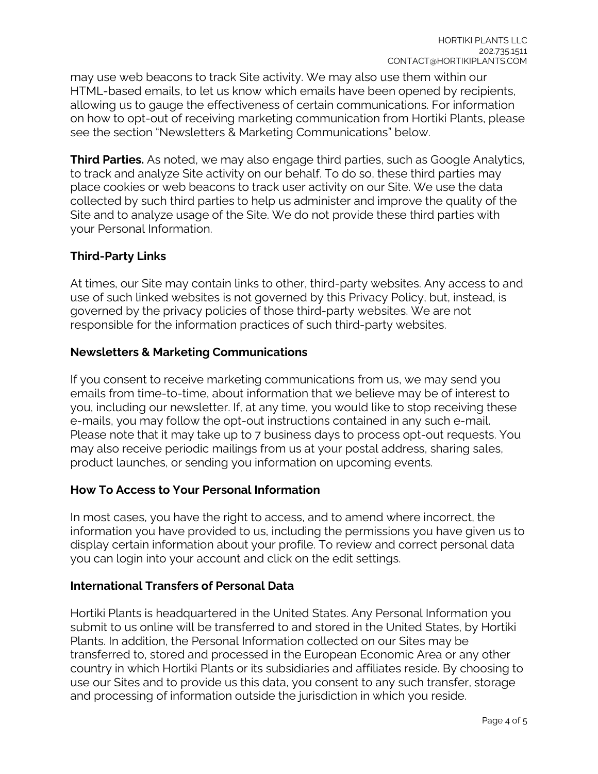may use web beacons to track Site activity. We may also use them within our HTML-based emails, to let us know which emails have been opened by recipients, allowing us to gauge the effectiveness of certain communications. For information on how to opt-out of receiving marketing communication from Hortiki Plants, please see the section "Newsletters & Marketing Communications" below.

**Third Parties.** As noted, we may also engage third parties, such as Google Analytics, to track and analyze Site activity on our behalf. To do so, these third parties may place cookies or web beacons to track user activity on our Site. We use the data collected by such third parties to help us administer and improve the quality of the Site and to analyze usage of the Site. We do not provide these third parties with your Personal Information.

# **Third-Party Links**

At times, our Site may contain links to other, third-party websites. Any access to and use of such linked websites is not governed by this Privacy Policy, but, instead, is governed by the privacy policies of those third-party websites. We are not responsible for the information practices of such third-party websites.

### **Newsletters & Marketing Communications**

If you consent to receive marketing communications from us, we may send you emails from time-to-time, about information that we believe may be of interest to you, including our newsletter. If, at any time, you would like to stop receiving these e-mails, you may follow the opt-out instructions contained in any such e-mail. Please note that it may take up to 7 business days to process opt-out requests. You may also receive periodic mailings from us at your postal address, sharing sales, product launches, or sending you information on upcoming events.

### **How To Access to Your Personal Information**

In most cases, you have the right to access, and to amend where incorrect, the information you have provided to us, including the permissions you have given us to display certain information about your profile. To review and correct personal data you can login into your account and click on the edit settings.

### **International Transfers of Personal Data**

Hortiki Plants is headquartered in the United States. Any Personal Information you submit to us online will be transferred to and stored in the United States, by Hortiki Plants. In addition, the Personal Information collected on our Sites may be transferred to, stored and processed in the European Economic Area or any other country in which Hortiki Plants or its subsidiaries and affiliates reside. By choosing to use our Sites and to provide us this data, you consent to any such transfer, storage and processing of information outside the jurisdiction in which you reside.